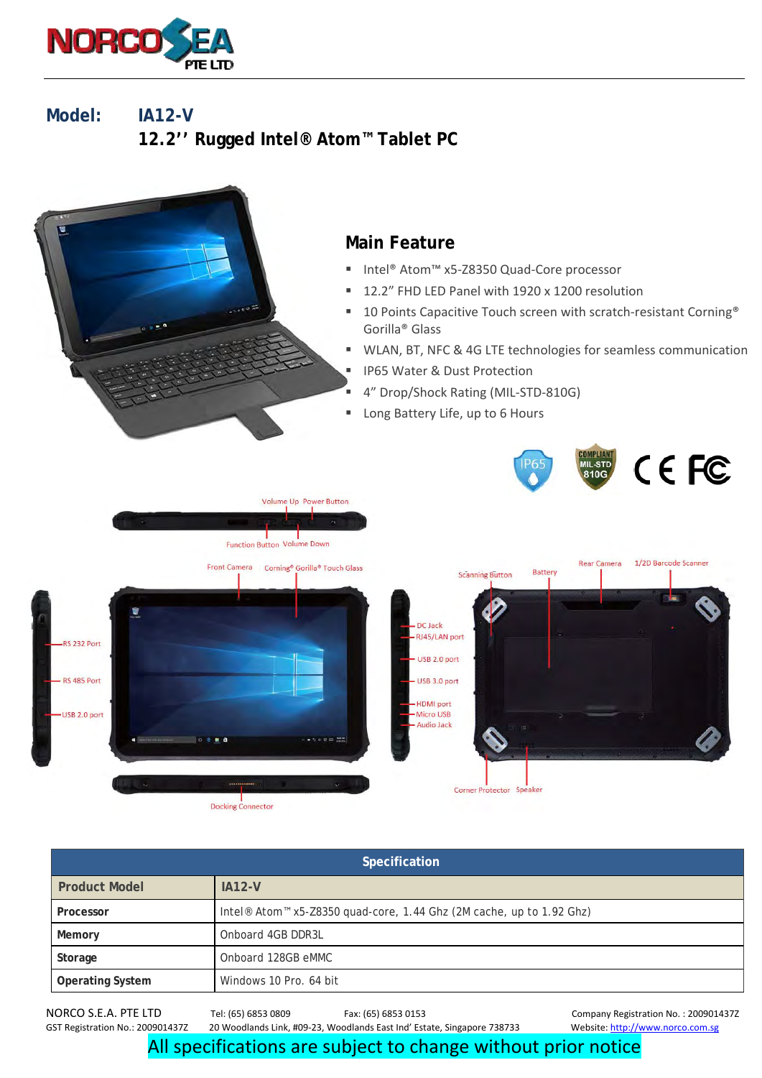

**Model: IA12-V 12.2'' Rugged Intel® Atom™ Tablet PC** 



| Specification           |                                                                                              |  |
|-------------------------|----------------------------------------------------------------------------------------------|--|
| <b>Product Model</b>    | $IA12-V$                                                                                     |  |
| Processor               | Intel <sup>®</sup> Atom <sup>™</sup> x5-Z8350 quad-core, 1.44 Ghz (2M cache, up to 1.92 Ghz) |  |
| Memory                  | Onboard 4GB DDR3L                                                                            |  |
| Storage                 | Onboard 128GB eMMC                                                                           |  |
| <b>Operating System</b> | Windows 10 Pro. 64 bit                                                                       |  |

20 Woodlands Link, #09-23, Woodlands East Ind' Estate, Singapore 738733

NORCO S.E.A. PTE LTD Tel: (65) 6853 0809 Fax: (65) 6853 0153 Company Registration No. : 2009014372<br>GST Registration No.: 2009014372 20 Woodlands Link, #09-23, Woodlands East Ind' Estate, Singapore 738733 Website: http://ww

All specifications are subject to change without prior notice